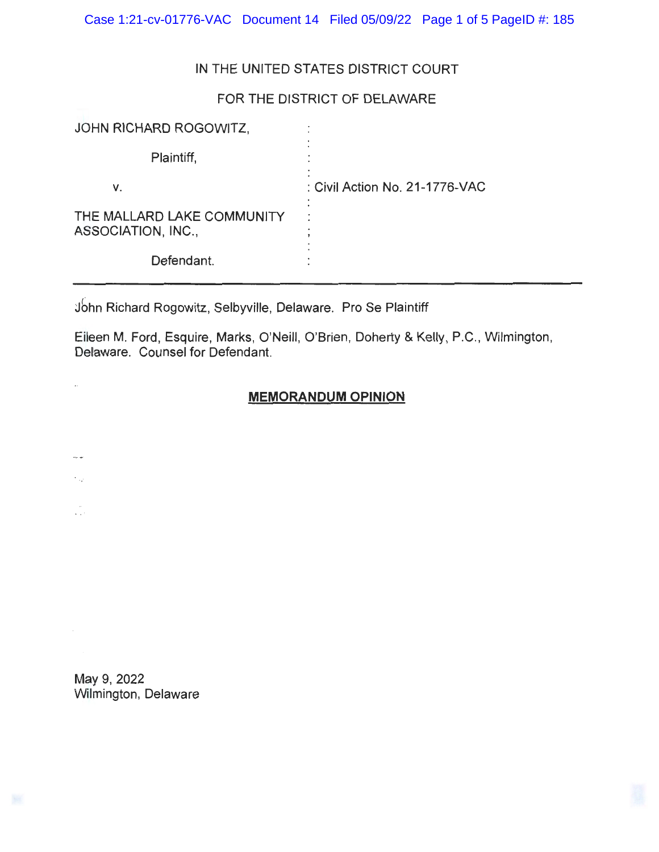Case 1:21-cv-01776-VAC Document 14 Filed 05/09/22 Page 1 of 5 PageID #: 185

# IN THE UNITED STATES DISTRICT COURT

## FOR THE DISTRICT OF DELAWARE

| JOHN RICHARD ROGOWITZ,                           |                                |
|--------------------------------------------------|--------------------------------|
| Plaintiff,                                       |                                |
| v.                                               | : Civil Action No. 21-1776-VAC |
| THE MALLARD LAKE COMMUNITY<br>ASSOCIATION, INC., |                                |
| Defendant.                                       |                                |

jbhn Richard Rogowitz, Selbyville, Delaware. Pro Se Plaintiff

Eileen M. Ford, Esquire, Marks, O'Neill, O'Brien, Doherty & Kelly, P.C., Wilmington, Delaware. Counsel for Defendant.

## **MEMORANDUM OPINION**

May 9, 2022 Wilmington, Delaware

ă,

...

 $\hat{\gamma}_{\alpha\beta}$ 

VI.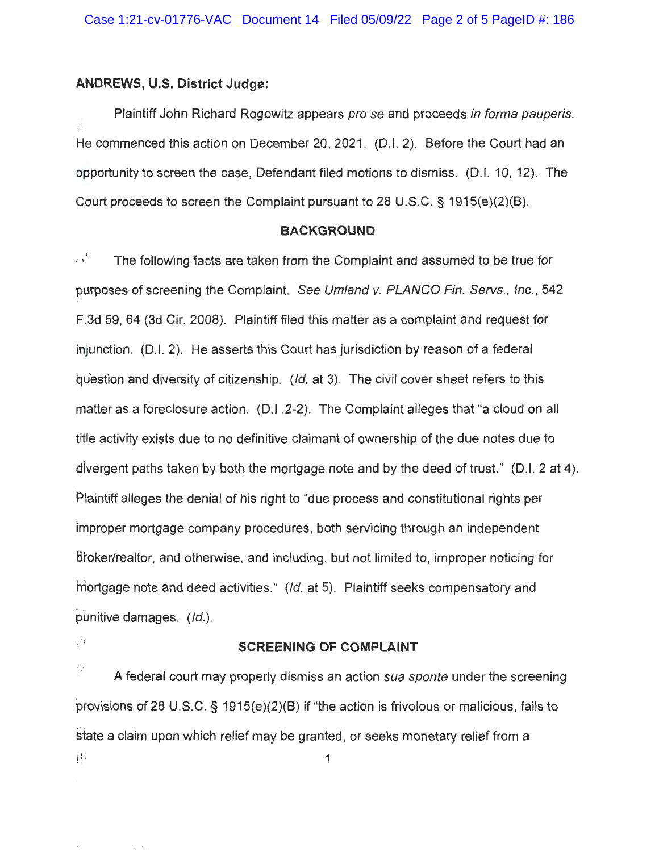#### **ANDREWS, U.S. District Judge:**

Plaintiff John Richard Rogowitz appears pro se and proceeds in forma pauperis. He commenced this action on December 20, 2021. (D.I. 2). Before the Court had an opportunity to screen the case, Defendant filed motions to dismiss. (D.I. 10, 12). The Court proceeds to screen the Complaint pursuant to 28 U.S.C. § 1915(e)(2)(B).

#### **BACKGROUND**

., s<sup>1</sup> The following facts are taken from the Complaint and assumed to be true for purposes of screening the Complaint. See Umland v. PLANCO Fin. Servs., Inc., 542 F.3d 59, 64 (3d Cir. 2008). Plaintiff filed this matter as a complaint and request for injunction. (D.I. 2). He asserts this Court has jurisdiction by reason of a federal guestion and diversity of citizenship.  $(Id.$  at 3). The civil cover sheet refers to this matter as a foreclosure action. (D.I .2-2). The Complaint alleges that "a cloud on all title activity exists due to no definitive claimant of ownership of the due notes due to divergent paths taken by both the mortgage note and by the deed of trust." (D.I. 2 at 4). Plaintiff alleges the denial of his right to "due process and constitutional rights per improper mortgage company procedures, both servicing through an independent Broker/realtor, and otherwise, and including, but not limited to, improper noticing for mortgage note and deed activities." (Id. at 5). Plaintiff seeks compensatory and punitive damages. (Id.).

# **IS SCREENING OF COMPLAINT**

븕 A federal court may properly dismiss an action sua sponte under the screening provisions of 28 U.S.C. § 1915(e)(2)(B) if "the action is frivolous or malicious, fails to state a claim upon which relief may be granted, or seeks monetary relief from a 桂. 1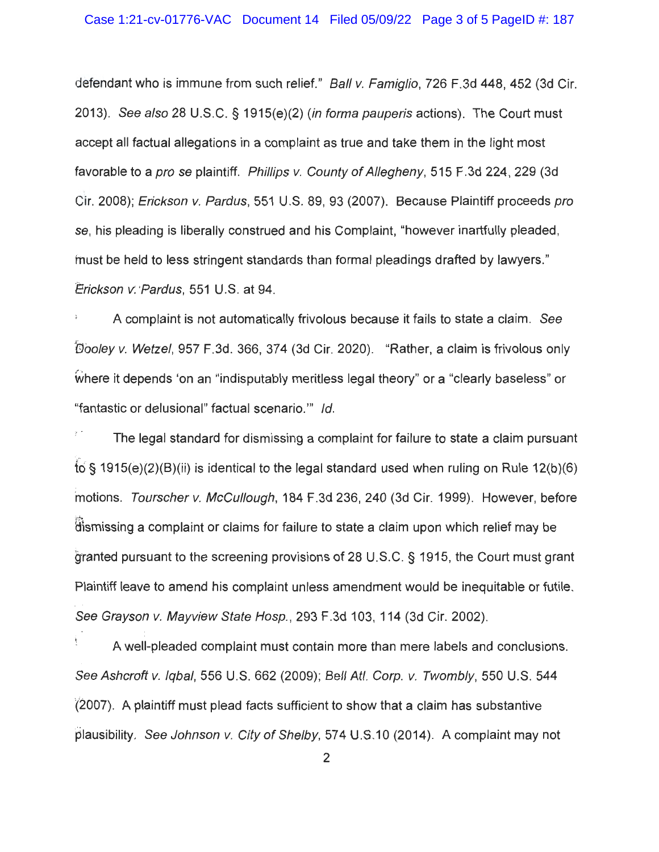defendant who is immune from such relief." Ball v. Famiglio, 726 F.3d 448, 452 (3d Cir. 2013). See also 28 U.S.C. § 1915(e)(2) (in forma pauperis actions). The Court must accept all factual allegations in a complaint as true and take them in the light most favorable to a pro se plaintiff. Phillips v. County of Allegheny, 515 F.3d 224, 229 (3d Cir. 2008); Erickson v. Pardus, 551 U.S. 89, 93 (2007). Because Plaintiff proceeds pro se, his pleading is liberally construed and his Complaint, "however inartfully pleaded , fnust be held to less stringent standards than formal pleadings drafted by lawyers." Erickson v: Pardus, 551 U.S. at 94.

/· ' . A complaint is not automatically frivolous because it fails to state a claim. See Wooley v. Wetzel, 957 F.3d . 366, 374 (3d Cir. 2020). "Rather, a claim is frivolous only Where it depends 'on an "indisputably meritless legal theory" or a "clearly baseless" or "fantastic or delusional" factual scenario."' Id.

The legal standard for dismissing a complaint for failure to state a claim pursuant •"1  $\overline{6}$  § 1915(e)(2)(B)(ii) is identical to the legal standard used when ruling on Rule 12(b)(6) motions. Tourscher v. McCullough, 184 F.3d 236, 240 (3d Cir. 1999). However, before dismissing a complaint or claims for failure to state a claim upon which relief may be granted pursuant to the screening provisions of 28 U.S.C. § 1915, the Court must grant Plaintiff leave to amend his complaint unless amendment would be inequitable or futile. \ See Grayson v. Mayview State Hosp., 293 F.3d 103, 114 (3d Cir. 2002).

A well-pleaded complaint must contain more than mere labels and conclusions. See Ashcroft v. Iqbal, 556 U.S. 662 (2009); Bell Atl. Corp. v. Twombly, 550 U.S. 544 ' .,-i ' (2007). A plaintiff must plead facts sufficient to show that a claim has substantive plausibility. See Johnson v. City of Shelby, 574 U.S.10 (2014). A complaint may not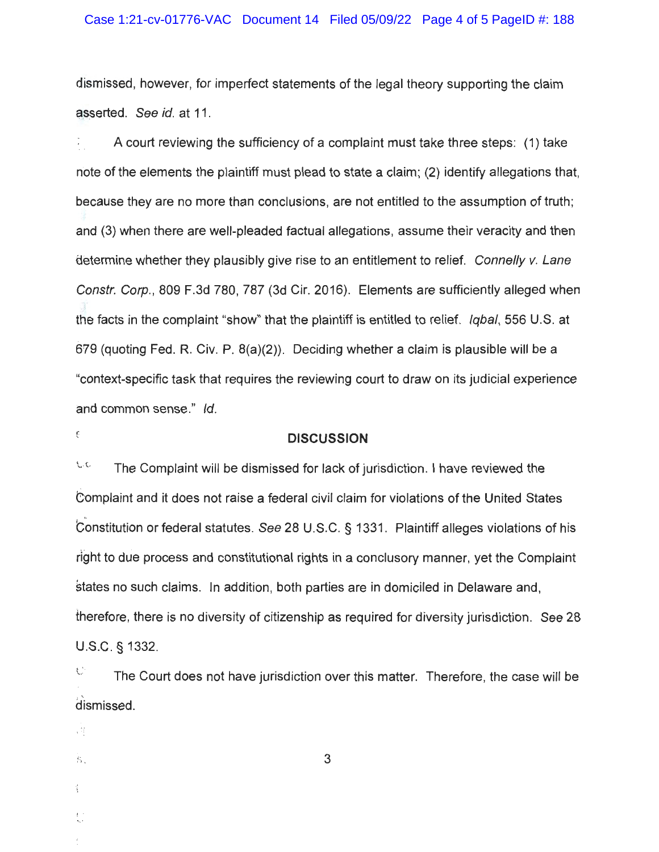#### Case 1:21-cv-01776-VAC Document 14 Filed 05/09/22 Page 4 of 5 PageID #: 188

dismissed, however, for imperfect statements of the legal theory supporting the claim asserted. See id. at 11.

A court reviewing the sufficiency of a complaint must take three steps: (1) take note of the elements the plaintiff must plead to state a claim; (2) identify allegations that, because they are no more than conclusions, are not entitled to the assumption of truth ; and (3) when there are well-pleaded factual allegations, assume their veracity and then determine whether they plausibly give rise to an entitlement to relief. Connelly v. Lane Constr. Corp. , 809 F.3d 780, 787 (3d Cir. 2016). Elements are sufficiently alleged when the facts in the complaint "show" that the plaintiff is entitled to relief. Iqbal, 556 U.S. at 679 (quoting Fed. R. Civ. P. 8(a)(2)). Deciding whether a claim is plausible will be a "context-specific task that requires the reviewing court to draw on its judicial experience and common sense." Id.

# € **DISCUSSION**

 $\sim$ The Complaint will be dismissed for lack of jurisdiction. I have reviewed the Complaint and it does not raise a federal civil claim for violations of the United States Constitution or federal statutes. See 28 U.S.C. § 1331. Plaintiff alleges violations of his right to due process and constitutional rights in a conclusory manner, yet the Complaint §tates no such claims. In addition, both parties are in domiciled in Delaware and, therefore, there is no diversity of citizenship as required for diversity jurisdiction. See 28 U.S.C. § 1332.

 $\heartsuit$  The Court does not have jurisdiction over this matter. Therefore, the case will be dismissed.

3

司

 $\mathcal{B}_\star$ 

 $\langle$ 

u

{ ., '